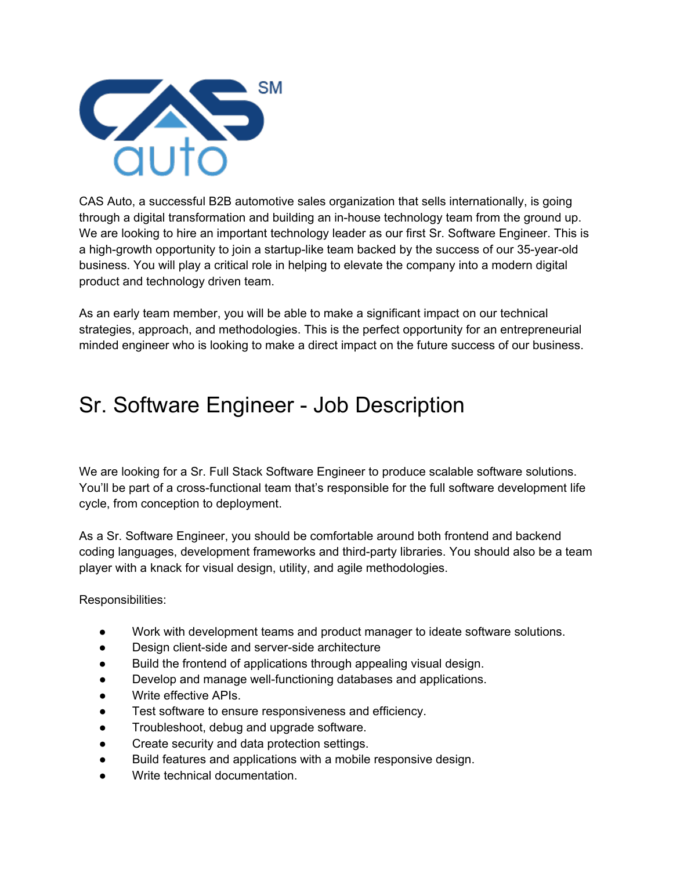

CAS Auto, a successful B2B automotive sales organization that sells internationally, is going through a digital transformation and building an in-house technology team from the ground up. We are looking to hire an important technology leader as our first Sr. Software Engineer. This is a high-growth opportunity to join a startup-like team backed by the success of our 35-year-old business. You will play a critical role in helping to elevate the company into a modern digital product and technology driven team.

As an early team member, you will be able to make a significant impact on our technical strategies, approach, and methodologies. This is the perfect opportunity for an entrepreneurial minded engineer who is looking to make a direct impact on the future success of our business.

## Sr. Software Engineer - Job Description

We are looking for a Sr. Full Stack Software Engineer to produce scalable software solutions. You'll be part of a cross-functional team that's responsible for the full software development life cycle, from conception to deployment.

As a Sr. Software Engineer, you should be comfortable around both frontend and backend coding languages, development frameworks and third-party libraries. You should also be a team player with a knack for visual design, utility, and agile methodologies.

Responsibilities:

- Work with development teams and product manager to ideate software solutions.
- Design client-side and server-side architecture
- Build the frontend of applications through appealing visual design.
- Develop and manage well-functioning databases and applications.
- Write effective APIs.
- Test software to ensure responsiveness and efficiency.
- Troubleshoot, debug and upgrade software.
- Create security and data protection settings.
- Build features and applications with a mobile responsive design.
- Write technical documentation